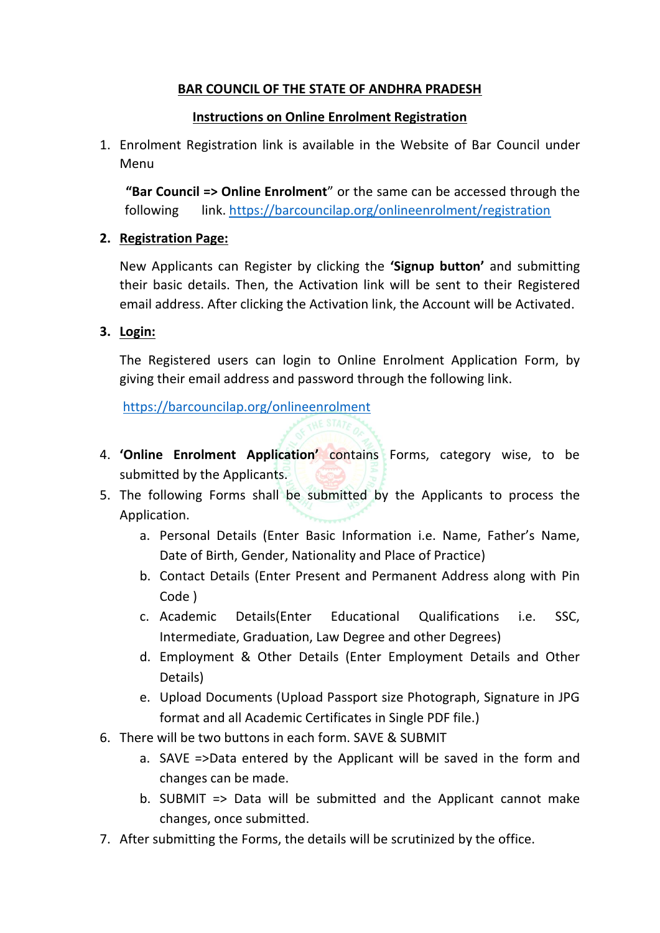## **BAR COUNCIL OF THE STATE OF ANDHRA PRADESH**

## **Instructions on Online Enrolment Registration**

1. Enrolment Registration link is available in the Website of Bar Council under Menu

 **"Bar Council => Online Enrolment**" or the same can be accessed through the following link.<https://barcouncilap.org/onlineenrolment/registration>

## **2. Registration Page:**

New Applicants can Register by clicking the **'Signup button'** and submitting their basic details. Then, the Activation link will be sent to their Registered email address. After clicking the Activation link, the Account will be Activated.

## **3. Login:**

The Registered users can login to Online Enrolment Application Form, by giving their email address and password through the following link.

[https://barcouncilap.org/onlineenrolment](https://barcouncilap.org/onlineenrolment/)

- 4. **'Online Enrolment Application'** contains Forms, category wise, to be submitted by the Applicants.
- 5. The following Forms shall be submitted by the Applicants to process the Application.
	- a. Personal Details (Enter Basic Information i.e. Name, Father's Name, Date of Birth, Gender, Nationality and Place of Practice)
	- b. Contact Details (Enter Present and Permanent Address along with Pin Code )
	- c. Academic Details(Enter Educational Qualifications i.e. SSC, Intermediate, Graduation, Law Degree and other Degrees)
	- d. Employment & Other Details (Enter Employment Details and Other Details)
	- e. Upload Documents (Upload Passport size Photograph, Signature in JPG format and all Academic Certificates in Single PDF file.)
- 6. There will be two buttons in each form. SAVE & SUBMIT
	- a. SAVE =>Data entered by the Applicant will be saved in the form and changes can be made.
	- b. SUBMIT => Data will be submitted and the Applicant cannot make changes, once submitted.
- 7. After submitting the Forms, the details will be scrutinized by the office.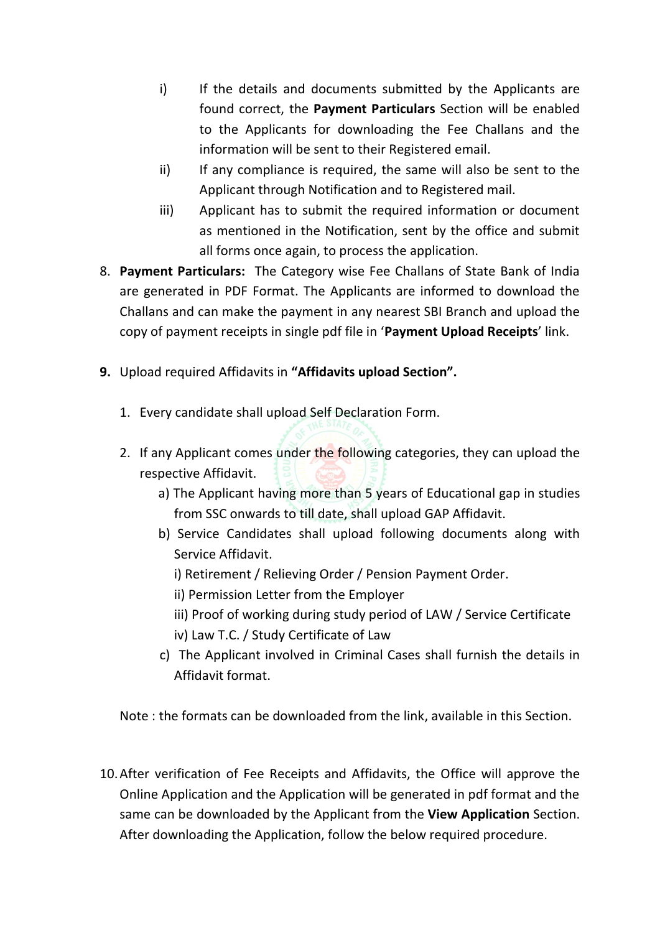- i) If the details and documents submitted by the Applicants are found correct, the **Payment Particulars** Section will be enabled to the Applicants for downloading the Fee Challans and the information will be sent to their Registered email.
- ii) If any compliance is required, the same will also be sent to the Applicant through Notification and to Registered mail.
- iii) Applicant has to submit the required information or document as mentioned in the Notification, sent by the office and submit all forms once again, to process the application.
- 8. **Payment Particulars:** The Category wise Fee Challans of State Bank of India are generated in PDF Format. The Applicants are informed to download the Challans and can make the payment in any nearest SBI Branch and upload the copy of payment receipts in single pdf file in '**Payment Upload Receipts**' link.
- **9.** Upload required Affidavits in **"Affidavits upload Section".**
	- 1. Every candidate shall upload Self Declaration Form.
	- 2. If any Applicant comes under the following categories, they can upload the respective Affidavit.
		- a) The Applicant having more than 5 years of Educational gap in studies from SSC onwards to till date, shall upload GAP Affidavit.
		- b) Service Candidates shall upload following documents along with Service Affidavit.
			- i) Retirement / Relieving Order / Pension Payment Order.
			- ii) Permission Letter from the Employer
			- iii) Proof of working during study period of LAW / Service Certificate
			- iv) Law T.C. / Study Certificate of Law
		- c) The Applicant involved in Criminal Cases shall furnish the details in Affidavit format.

Note : the formats can be downloaded from the link, available in this Section.

10.After verification of Fee Receipts and Affidavits, the Office will approve the Online Application and the Application will be generated in pdf format and the same can be downloaded by the Applicant from the **View Application** Section. After downloading the Application, follow the below required procedure.